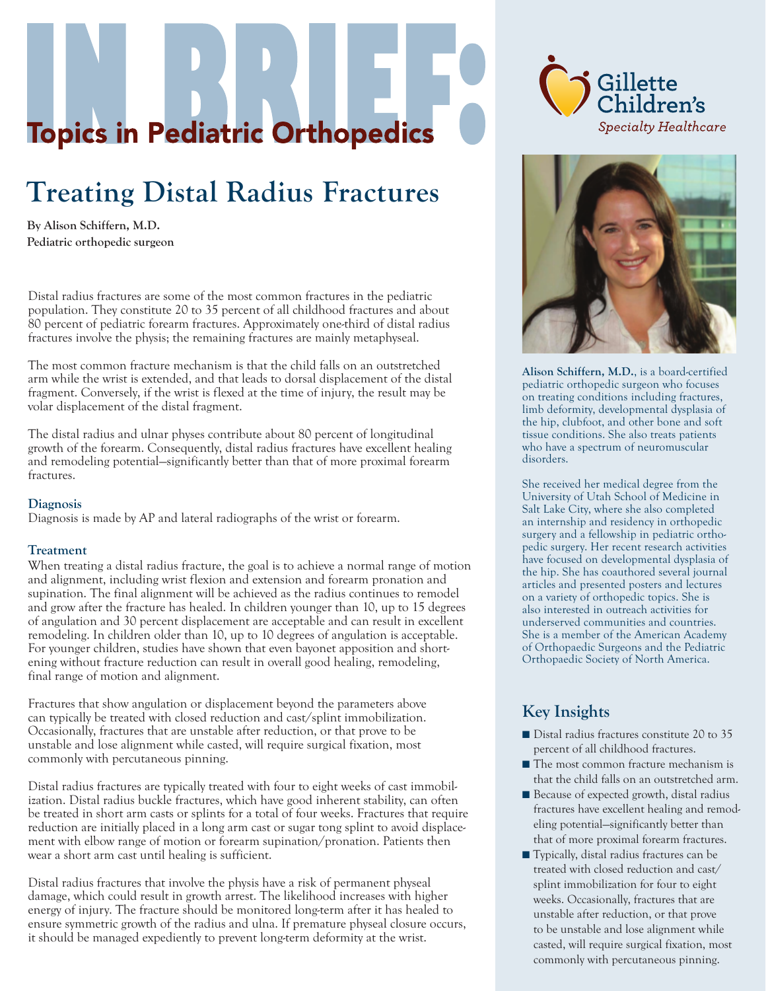# **Topics in Pediatric Orthopedics**

# **Treating Distal Radius Fractures**

**By Alison Schiffern, M.D. Pediatric orthopedic surgeon**

Distal radius fractures are some of the most common fractures in the pediatric population. They constitute 20 to 35 percent of all childhood fractures and about 80 percent of pediatric forearm fractures. Approximately one-third of distal radius fractures involve the physis; the remaining fractures are mainly metaphyseal.

The most common fracture mechanism is that the child falls on an outstretched arm while the wrist is extended, and that leads to dorsal displacement of the distal fragment. Conversely, if the wrist is flexed at the time of injury, the result may be volar displacement of the distal fragment.

The distal radius and ulnar physes contribute about 80 percent of longitudinal growth of the forearm. Consequently, distal radius fractures have excellent healing and remodeling potential—significantly better than that of more proximal forearm fractures.

#### **Diagnosis**

Diagnosis is made by AP and lateral radiographs of the wrist or forearm.

#### **Treatment**

When treating a distal radius fracture, the goal is to achieve a normal range of motion and alignment, including wrist flexion and extension and forearm pronation and supination. The final alignment will be achieved as the radius continues to remodel and grow after the fracture has healed. In children younger than 10, up to 15 degrees of angulation and 30 percent displacement are acceptable and can result in excellent remodeling. In children older than 10, up to 10 degrees of angulation is acceptable. For younger children, studies have shown that even bayonet apposition and shortening without fracture reduction can result in overall good healing, remodeling, final range of motion and alignment.

Fractures that show angulation or displacement beyond the parameters above can typically be treated with closed reduction and cast/splint immobilization. Occasionally, fractures that are unstable after reduction, or that prove to be unstable and lose alignment while casted, will require surgical fixation, most commonly with percutaneous pinning.

Distal radius fractures are typically treated with four to eight weeks of cast immobilization. Distal radius buckle fractures, which have good inherent stability, can often be treated in short arm casts or splints for a total of four weeks. Fractures that require reduction are initially placed in a long arm cast or sugar tong splint to avoid displacement with elbow range of motion or forearm supination/pronation. Patients then wear a short arm cast until healing is sufficient.

Distal radius fractures that involve the physis have a risk of permanent physeal damage, which could result in growth arrest. The likelihood increases with higher energy of injury. The fracture should be monitored long-term after it has healed to ensure symmetric growth of the radius and ulna. If premature physeal closure occurs, it should be managed expediently to prevent long-term deformity at the wrist.





**Alison Schiffern, M.D.**, is a board-certified pediatric orthopedic surgeon who focuses on treating conditions including fractures, limb deformity, developmental dysplasia of the hip, clubfoot, and other bone and soft tissue conditions. She also treats patients who have a spectrum of neuromuscular disorders.

She received her medical degree from the University of Utah School of Medicine in Salt Lake City, where she also completed an internship and residency in orthopedic surgery and a fellowship in pediatric orthopedic surgery. Her recent research activities have focused on developmental dysplasia of the hip. She has coauthored several journal articles and presented posters and lectures on a variety of orthopedic topics. She is also interested in outreach activities for underserved communities and countries. She is a member of the American Academy of Orthopaedic Surgeons and the Pediatric Orthopaedic Society of North America.

## **Key Insights**

- Distal radius fractures constitute 20 to 35 percent of all childhood fractures.
- The most common fracture mechanism is that the child falls on an outstretched arm.
- Because of expected growth, distal radius fractures have excellent healing and remodeling potential—significantly better than that of more proximal forearm fractures.
- Typically, distal radius fractures can be treated with closed reduction and cast/ splint immobilization for four to eight weeks. Occasionally, fractures that are unstable after reduction, or that prove to be unstable and lose alignment while casted, will require surgical fixation, most commonly with percutaneous pinning.